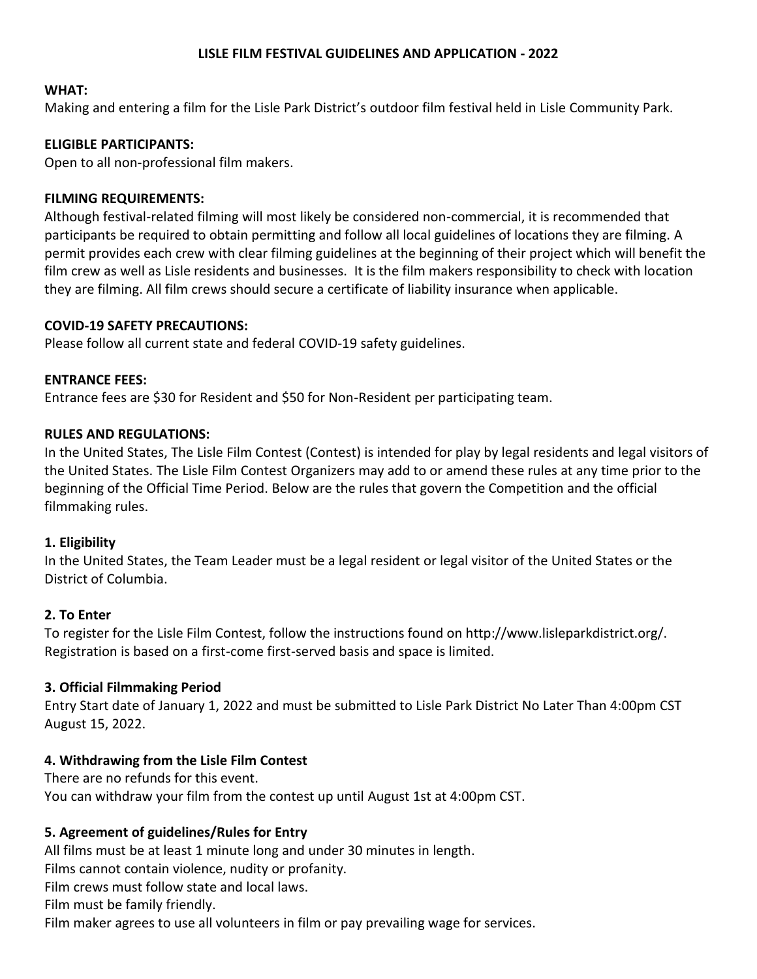### **LISLE FILM FESTIVAL GUIDELINES AND APPLICATION - 2022**

#### **WHAT:**

Making and entering a film for the Lisle Park District's outdoor film festival held in Lisle Community Park.

#### **ELIGIBLE PARTICIPANTS:**

Open to all non-professional film makers.

#### **FILMING REQUIREMENTS:**

Although festival-related filming will most likely be considered non-commercial, it is recommended that participants be required to obtain permitting and follow all local guidelines of locations they are filming. A permit provides each crew with clear filming guidelines at the beginning of their project which will benefit the film crew as well as Lisle residents and businesses. It is the film makers responsibility to check with location they are filming. All film crews should secure a certificate of liability insurance when applicable.

#### **COVID-19 SAFETY PRECAUTIONS:**

Please follow all current state and federal COVID-19 safety guidelines.

#### **ENTRANCE FEES:**

Entrance fees are \$30 for Resident and \$50 for Non-Resident per participating team.

#### **RULES AND REGULATIONS:**

In the United States, The Lisle Film Contest (Contest) is intended for play by legal residents and legal visitors of the United States. The Lisle Film Contest Organizers may add to or amend these rules at any time prior to the beginning of the Official Time Period. Below are the rules that govern the Competition and the official filmmaking rules.

#### **1. Eligibility**

In the United States, the Team Leader must be a legal resident or legal visitor of the United States or the District of Columbia.

### **2. To Enter**

To register for the Lisle Film Contest, follow the instructions found on http://www.lisleparkdistrict.org/. Registration is based on a first-come first-served basis and space is limited.

### **3. Official Filmmaking Period**

Entry Start date of January 1, 2022 and must be submitted to Lisle Park District No Later Than 4:00pm CST August 15, 2022.

### **4. Withdrawing from the Lisle Film Contest**

There are no refunds for this event. You can withdraw your film from the contest up until August 1st at 4:00pm CST.

### **5. Agreement of guidelines/Rules for Entry**

All films must be at least 1 minute long and under 30 minutes in length.

Films cannot contain violence, nudity or profanity.

Film crews must follow state and local laws.

Film must be family friendly.

Film maker agrees to use all volunteers in film or pay prevailing wage for services.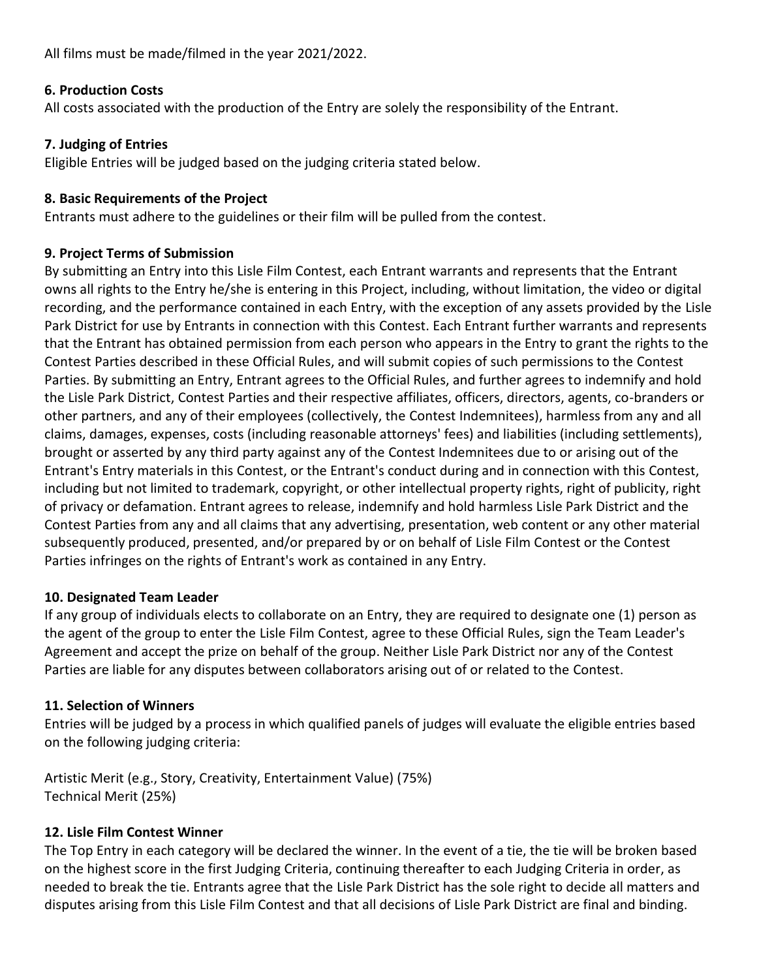All films must be made/filmed in the year 2021/2022.

# **6. Production Costs**

All costs associated with the production of the Entry are solely the responsibility of the Entrant.

# **7. Judging of Entries**

Eligible Entries will be judged based on the judging criteria stated below.

# **8. Basic Requirements of the Project**

Entrants must adhere to the guidelines or their film will be pulled from the contest.

# **9. Project Terms of Submission**

By submitting an Entry into this Lisle Film Contest, each Entrant warrants and represents that the Entrant owns all rights to the Entry he/she is entering in this Project, including, without limitation, the video or digital recording, and the performance contained in each Entry, with the exception of any assets provided by the Lisle Park District for use by Entrants in connection with this Contest. Each Entrant further warrants and represents that the Entrant has obtained permission from each person who appears in the Entry to grant the rights to the Contest Parties described in these Official Rules, and will submit copies of such permissions to the Contest Parties. By submitting an Entry, Entrant agrees to the Official Rules, and further agrees to indemnify and hold the Lisle Park District, Contest Parties and their respective affiliates, officers, directors, agents, co-branders or other partners, and any of their employees (collectively, the Contest Indemnitees), harmless from any and all claims, damages, expenses, costs (including reasonable attorneys' fees) and liabilities (including settlements), brought or asserted by any third party against any of the Contest Indemnitees due to or arising out of the Entrant's Entry materials in this Contest, or the Entrant's conduct during and in connection with this Contest, including but not limited to trademark, copyright, or other intellectual property rights, right of publicity, right of privacy or defamation. Entrant agrees to release, indemnify and hold harmless Lisle Park District and the Contest Parties from any and all claims that any advertising, presentation, web content or any other material subsequently produced, presented, and/or prepared by or on behalf of Lisle Film Contest or the Contest Parties infringes on the rights of Entrant's work as contained in any Entry.

## **10. Designated Team Leader**

If any group of individuals elects to collaborate on an Entry, they are required to designate one (1) person as the agent of the group to enter the Lisle Film Contest, agree to these Official Rules, sign the Team Leader's Agreement and accept the prize on behalf of the group. Neither Lisle Park District nor any of the Contest Parties are liable for any disputes between collaborators arising out of or related to the Contest.

# **11. Selection of Winners**

Entries will be judged by a process in which qualified panels of judges will evaluate the eligible entries based on the following judging criteria:

Artistic Merit (e.g., Story, Creativity, Entertainment Value) (75%) Technical Merit (25%)

# **12. Lisle Film Contest Winner**

The Top Entry in each category will be declared the winner. In the event of a tie, the tie will be broken based on the highest score in the first Judging Criteria, continuing thereafter to each Judging Criteria in order, as needed to break the tie. Entrants agree that the Lisle Park District has the sole right to decide all matters and disputes arising from this Lisle Film Contest and that all decisions of Lisle Park District are final and binding.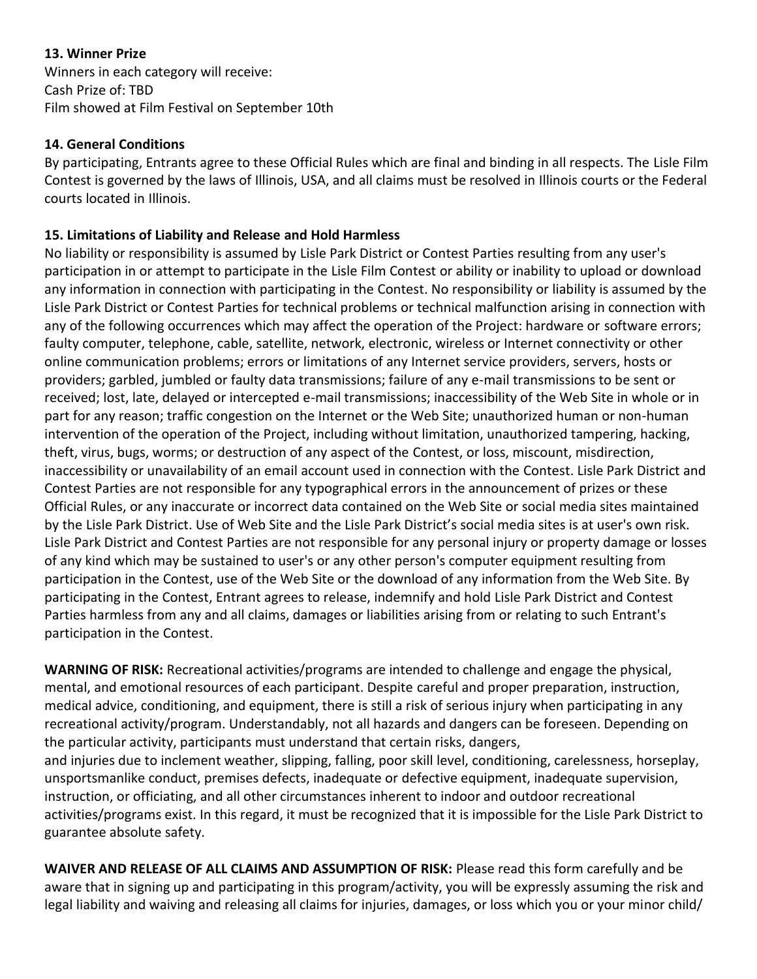# **13. Winner Prize**

Winners in each category will receive: Cash Prize of: TBD Film showed at Film Festival on September 10th

### **14. General Conditions**

By participating, Entrants agree to these Official Rules which are final and binding in all respects. The Lisle Film Contest is governed by the laws of Illinois, USA, and all claims must be resolved in Illinois courts or the Federal courts located in Illinois.

## **15. Limitations of Liability and Release and Hold Harmless**

No liability or responsibility is assumed by Lisle Park District or Contest Parties resulting from any user's participation in or attempt to participate in the Lisle Film Contest or ability or inability to upload or download any information in connection with participating in the Contest. No responsibility or liability is assumed by the Lisle Park District or Contest Parties for technical problems or technical malfunction arising in connection with any of the following occurrences which may affect the operation of the Project: hardware or software errors; faulty computer, telephone, cable, satellite, network, electronic, wireless or Internet connectivity or other online communication problems; errors or limitations of any Internet service providers, servers, hosts or providers; garbled, jumbled or faulty data transmissions; failure of any e-mail transmissions to be sent or received; lost, late, delayed or intercepted e-mail transmissions; inaccessibility of the Web Site in whole or in part for any reason; traffic congestion on the Internet or the Web Site; unauthorized human or non-human intervention of the operation of the Project, including without limitation, unauthorized tampering, hacking, theft, virus, bugs, worms; or destruction of any aspect of the Contest, or loss, miscount, misdirection, inaccessibility or unavailability of an email account used in connection with the Contest. Lisle Park District and Contest Parties are not responsible for any typographical errors in the announcement of prizes or these Official Rules, or any inaccurate or incorrect data contained on the Web Site or social media sites maintained by the Lisle Park District. Use of Web Site and the Lisle Park District's social media sites is at user's own risk. Lisle Park District and Contest Parties are not responsible for any personal injury or property damage or losses of any kind which may be sustained to user's or any other person's computer equipment resulting from participation in the Contest, use of the Web Site or the download of any information from the Web Site. By participating in the Contest, Entrant agrees to release, indemnify and hold Lisle Park District and Contest Parties harmless from any and all claims, damages or liabilities arising from or relating to such Entrant's participation in the Contest.

**WARNING OF RISK:** Recreational activities/programs are intended to challenge and engage the physical, mental, and emotional resources of each participant. Despite careful and proper preparation, instruction, medical advice, conditioning, and equipment, there is still a risk of serious injury when participating in any recreational activity/program. Understandably, not all hazards and dangers can be foreseen. Depending on the particular activity, participants must understand that certain risks, dangers,

and injuries due to inclement weather, slipping, falling, poor skill level, conditioning, carelessness, horseplay, unsportsmanlike conduct, premises defects, inadequate or defective equipment, inadequate supervision, instruction, or officiating, and all other circumstances inherent to indoor and outdoor recreational activities/programs exist. In this regard, it must be recognized that it is impossible for the Lisle Park District to guarantee absolute safety.

**WAIVER AND RELEASE OF ALL CLAIMS AND ASSUMPTION OF RISK:** Please read this form carefully and be aware that in signing up and participating in this program/activity, you will be expressly assuming the risk and legal liability and waiving and releasing all claims for injuries, damages, or loss which you or your minor child/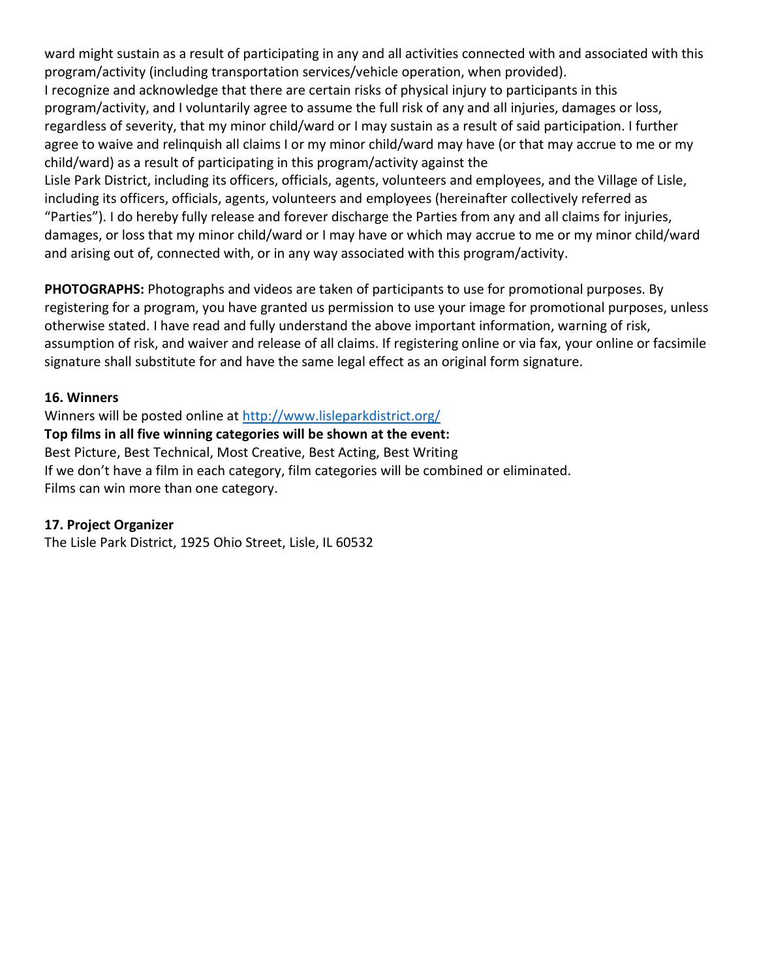ward might sustain as a result of participating in any and all activities connected with and associated with this program/activity (including transportation services/vehicle operation, when provided). I recognize and acknowledge that there are certain risks of physical injury to participants in this program/activity, and I voluntarily agree to assume the full risk of any and all injuries, damages or loss, regardless of severity, that my minor child/ward or I may sustain as a result of said participation. I further agree to waive and relinquish all claims I or my minor child/ward may have (or that may accrue to me or my child/ward) as a result of participating in this program/activity against the Lisle Park District, including its officers, officials, agents, volunteers and employees, and the Village of Lisle,

including its officers, officials, agents, volunteers and employees (hereinafter collectively referred as "Parties"). I do hereby fully release and forever discharge the Parties from any and all claims for injuries, damages, or loss that my minor child/ward or I may have or which may accrue to me or my minor child/ward and arising out of, connected with, or in any way associated with this program/activity.

**PHOTOGRAPHS:** Photographs and videos are taken of participants to use for promotional purposes. By registering for a program, you have granted us permission to use your image for promotional purposes, unless otherwise stated. I have read and fully understand the above important information, warning of risk, assumption of risk, and waiver and release of all claims. If registering online or via fax, your online or facsimile signature shall substitute for and have the same legal effect as an original form signature.

### **16. Winners**

Winners will be posted online at<http://www.lisleparkdistrict.org/> **Top films in all five winning categories will be shown at the event:**  Best Picture, Best Technical, Most Creative, Best Acting, Best Writing If we don't have a film in each category, film categories will be combined or eliminated. Films can win more than one category.

## **17. Project Organizer**

The Lisle Park District, 1925 Ohio Street, Lisle, IL 60532